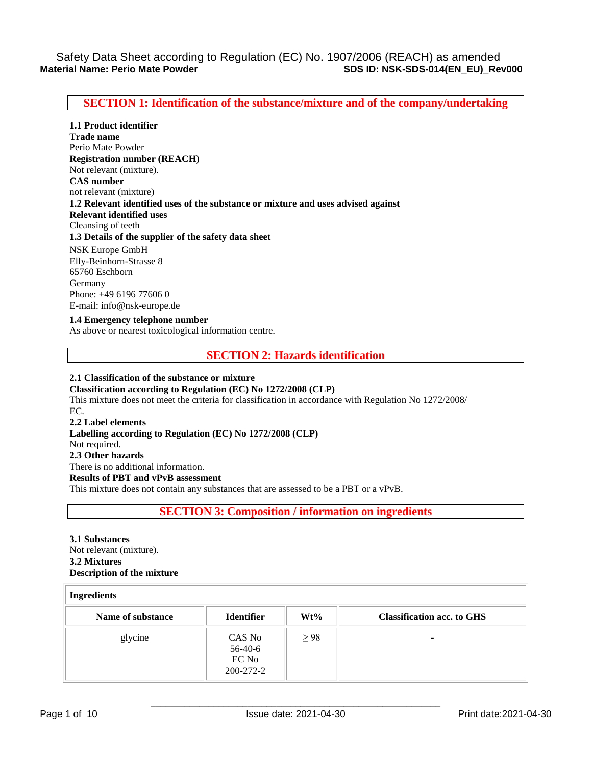**SECTION 1: Identification of the substance/mixture and of the company/undertaking** 

**1.1 Product identifier Trade name** Perio Mate Powder **Registration number (REACH)** Not relevant (mixture). **CAS number** not relevant (mixture) **1.2 Relevant identified uses of the substance or mixture and uses advised against Relevant identified uses**  Cleansing of teeth **1.3 Details of the supplier of the safety data sheet** NSK Europe GmbH Elly-Beinhorn-Strasse 8 65760 Eschborn Germany Phone: +49 6196 77606 0 E-mail: info@nsk-europe.de

**1.4 Emergency telephone number** As above or nearest toxicological information centre.

**SECTION 2: Hazards identification** 

**2.1 Classification of the substance or mixture Classification according to Regulation (EC) No 1272/2008 (CLP)** This mixture does not meet the criteria for classification in accordance with Regulation No 1272/2008/ EC. **2.2 Label elements Labelling according to Regulation (EC) No 1272/2008 (CLP)** Not required. **2.3 Other hazards** There is no additional information. **Results of PBT and vPvB assessment** This mixture does not contain any substances that are assessed to be a PBT or a vPvB.

**SECTION 3: Composition / information on ingredients** 

**3.1 Substances** Not relevant (mixture). **3.2 Mixtures Description of the mixture**

| <b>Ingredients</b> |                                         |           |                                   |
|--------------------|-----------------------------------------|-----------|-----------------------------------|
| Name of substance  | <b>Identifier</b>                       | $Wt\%$    | <b>Classification acc. to GHS</b> |
| glycine            | CAS No<br>56-40-6<br>EC No<br>200-272-2 | $\geq$ 98 | -                                 |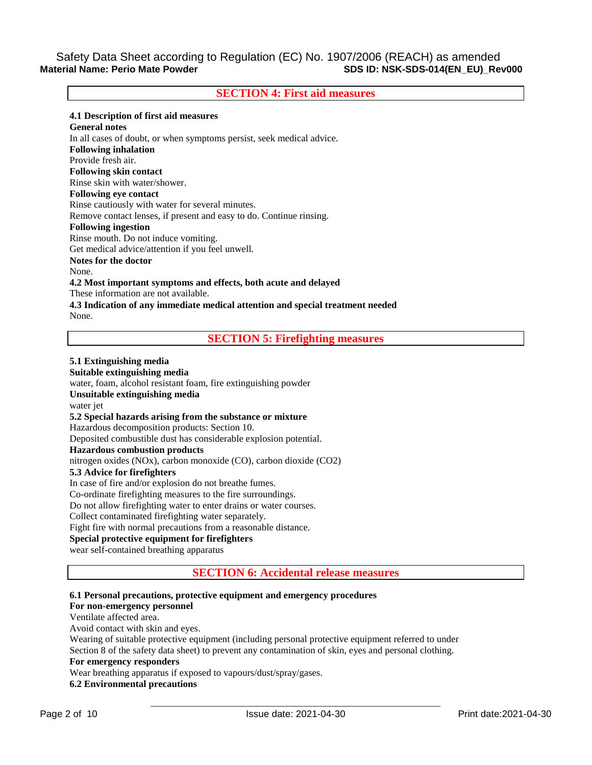# Safety Data Sheet according to Regulation (EC) No. 1907/2006 (REACH) as amended<br>Material Name: Perio Mate Powder<br>Regulation (EC) No. 1907/2006 (REACH) as amended **Material Name: Perio Mate Powder SDS ID: NSK-SDS-014(EN\_EU)\_Rev000**

## **SECTION 4: First aid measures**

### **4.1 Description of first aid measures**

**General notes** In all cases of doubt, or when symptoms persist, seek medical advice. **Following inhalation** Provide fresh air. **Following skin contact** Rinse skin with water/shower. **Following eye contact** Rinse cautiously with water for several minutes. Remove contact lenses, if present and easy to do. Continue rinsing. **Following ingestion** Rinse mouth. Do not induce vomiting. Get medical advice/attention if you feel unwell. **Notes for the doctor** None. **4.2 Most important symptoms and effects, both acute and delayed** These information are not available. **4.3 Indication of any immediate medical attention and special treatment needed**

### **SECTION 5: Firefighting measures**

#### **5.1 Extinguishing media**

None.

**Suitable extinguishing media** water, foam, alcohol resistant foam, fire extinguishing powder **Unsuitable extinguishing media** water jet **5.2 Special hazards arising from the substance or mixture** Hazardous decomposition products: Section 10. Deposited combustible dust has considerable explosion potential. **Hazardous combustion products** nitrogen oxides (NOx), carbon monoxide (CO), carbon dioxide (CO2) **5.3 Advice for firefighters** In case of fire and/or explosion do not breathe fumes. Co-ordinate firefighting measures to the fire surroundings. Do not allow firefighting water to enter drains or water courses. Collect contaminated firefighting water separately. Fight fire with normal precautions from a reasonable distance. **Special protective equipment for firefighters** wear self-contained breathing apparatus

**SECTION 6: Accidental release measures** 

## **6.1 Personal precautions, protective equipment and emergency procedures**

### **For non-emergency personnel**

Ventilate affected area.

Avoid contact with skin and eyes.

Wearing of suitable protective equipment (including personal protective equipment referred to under Section 8 of the safety data sheet) to prevent any contamination of skin, eyes and personal clothing.

#### **For emergency responders**

Wear breathing apparatus if exposed to vapours/dust/spray/gases.

**6.2 Environmental precautions**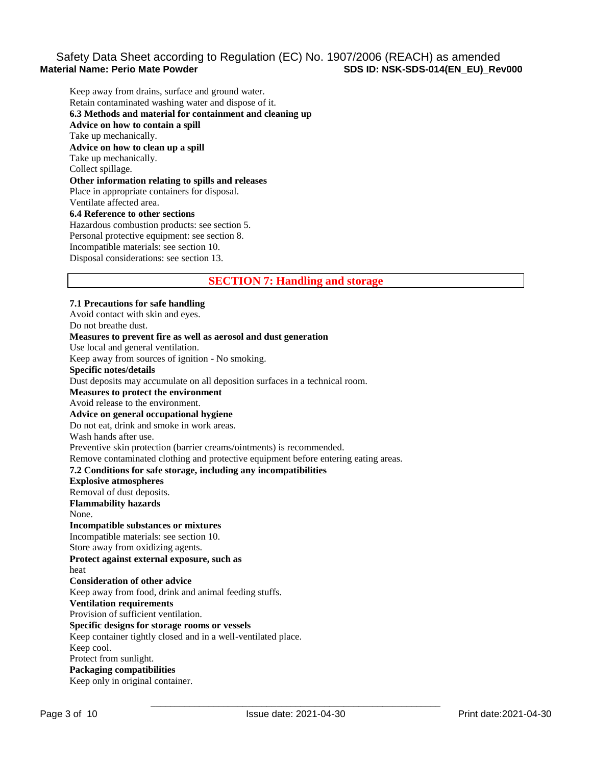# Safety Data Sheet according to Regulation (EC) No. 1907/2006 (REACH) as amended<br>Material Name: Perio Mate Powder<br>Regulation (EC) No. 1907/2006 (REACH) as amended **SDS ID: NSK-SDS-014(EN\_EU)\_Rev000**

Keep away from drains, surface and ground water. Retain contaminated washing water and dispose of it. **6.3 Methods and material for containment and cleaning up Advice on how to contain a spill** Take up mechanically. **Advice on how to clean up a spill** Take up mechanically. Collect spillage. **Other information relating to spills and releases** Place in appropriate containers for disposal. Ventilate affected area. **6.4 Reference to other sections** Hazardous combustion products: see section 5. Personal protective equipment: see section 8. Incompatible materials: see section 10.

Disposal considerations: see section 13.

## **SECTION 7: Handling and storage**

## **7.1 Precautions for safe handling** Avoid contact with skin and eyes. Do not breathe dust. **Measures to prevent fire as well as aerosol and dust generation** Use local and general ventilation. Keep away from sources of ignition - No smoking. **Specific notes/details** Dust deposits may accumulate on all deposition surfaces in a technical room. **Measures to protect the environment** Avoid release to the environment. **Advice on general occupational hygiene** Do not eat, drink and smoke in work areas. Wash hands after use. Preventive skin protection (barrier creams/ointments) is recommended. Remove contaminated clothing and protective equipment before entering eating areas. **7.2 Conditions for safe storage, including any incompatibilities Explosive atmospheres** Removal of dust deposits. **Flammability hazards** None. **Incompatible substances or mixtures** Incompatible materials: see section 10. Store away from oxidizing agents. **Protect against external exposure, such as** heat **Consideration of other advice** Keep away from food, drink and animal feeding stuffs. **Ventilation requirements** Provision of sufficient ventilation. **Specific designs for storage rooms or vessels** Keep container tightly closed and in a well-ventilated place. Keep cool. Protect from sunlight. **Packaging compatibilities** Keep only in original container.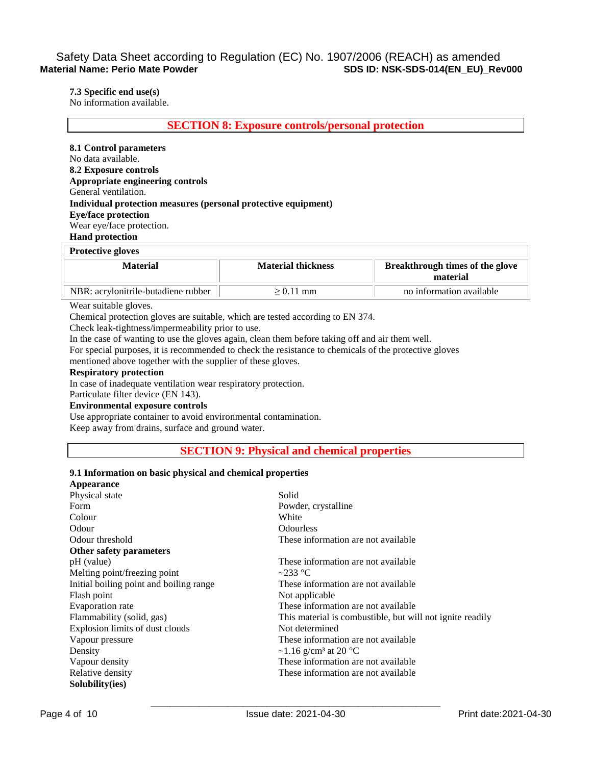# Safety Data Sheet according to Regulation (EC) No. 1907/2006 (REACH) as amended<br>Material Name: Perio Mate Powder<br>Regulation (EC) No. 1907/2006 (REACH) as amended **Material Name: Perio Mate Powder SDS ID: NSK-SDS-014(EN\_EU)\_Rev000**

**7.3 Specific end use(s)**

No information available.

**SECTION 8: Exposure controls/personal protection** 

**8.1 Control parameters** No data available. **8.2 Exposure controls Appropriate engineering controls** General ventilation. **Individual protection measures (personal protective equipment) Eye/face protection** Wear eye/face protection. **Hand protection**

## **Protective gloves**

| Material                            | <b>Material thickness</b> | <b>Breakthrough times of the glove</b><br>material |
|-------------------------------------|---------------------------|----------------------------------------------------|
| NBR: acrylonitrile-butadiene rubber | $> 0.11$ mm               | no information available                           |

#### Wear suitable gloves.

Chemical protection gloves are suitable, which are tested according to EN 374.

Check leak-tightness/impermeability prior to use.

In the case of wanting to use the gloves again, clean them before taking off and air them well.

For special purposes, it is recommended to check the resistance to chemicals of the protective gloves mentioned above together with the supplier of these gloves.

### **Respiratory protection**

In case of inadequate ventilation wear respiratory protection.

Particulate filter device (EN 143).

# **Environmental exposure controls**

Use appropriate container to avoid environmental contamination. Keep away from drains, surface and ground water.

### **SECTION 9: Physical and chemical properties**

#### **9.1 Information on basic physical and chemical properties**

| Appearance                              |                                                           |
|-----------------------------------------|-----------------------------------------------------------|
| Physical state                          | Solid                                                     |
| Form                                    | Powder, crystalline                                       |
| Colour                                  | White                                                     |
| Odour                                   | <b>Odourless</b>                                          |
| Odour threshold                         | These information are not available                       |
| Other safety parameters                 |                                                           |
| pH (value)                              | These information are not available                       |
| Melting point/freezing point            | $\sim$ 233 °C                                             |
| Initial boiling point and boiling range | These information are not available                       |
| Flash point                             | Not applicable                                            |
| Evaporation rate                        | These information are not available                       |
| Flammability (solid, gas)               | This material is combustible, but will not ignite readily |
| Explosion limits of dust clouds         | Not determined                                            |
| Vapour pressure                         | These information are not available                       |
| Density                                 | ~1.16 g/cm <sup>3</sup> at 20 °C                          |
| Vapour density                          | These information are not available                       |
| Relative density                        | These information are not available                       |
| Solubility(ies)                         |                                                           |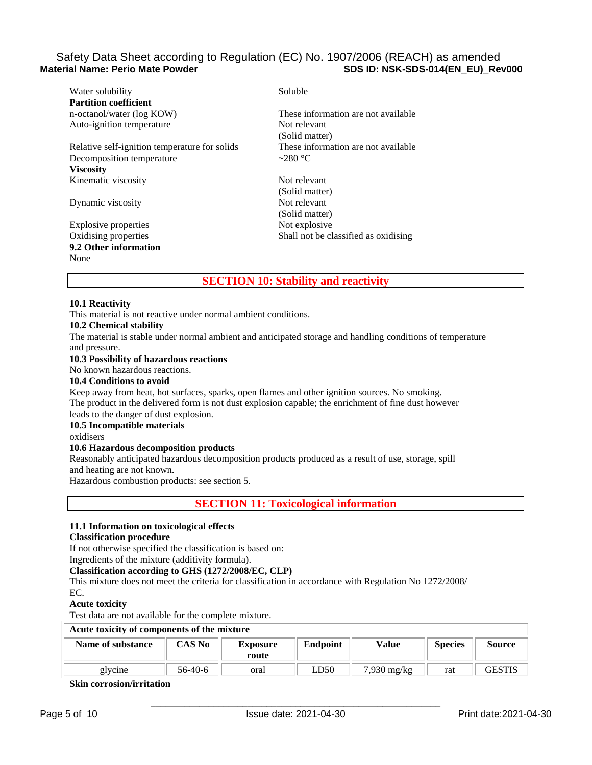# Safety Data Sheet according to Regulation (EC) No. 1907/2006 (REACH) as amended<br>Material Name: Perio Mate Powder<br>SDS ID: NSK-SDS-014(EN EU) Re **SDS ID: NSK-SDS-014(EN\_EU)\_Rev000**

| Water solubility                              | Soluble                              |
|-----------------------------------------------|--------------------------------------|
| <b>Partition coefficient</b>                  |                                      |
| n-octanol/water (log KOW)                     | These information are not available  |
| Auto-ignition temperature                     | Not relevant                         |
|                                               | (Solid matter)                       |
| Relative self-ignition temperature for solids | These information are not available  |
| Decomposition temperature                     | $\sim$ 280 °C                        |
| <b>Viscosity</b>                              |                                      |
| Kinematic viscosity                           | Not relevant                         |
|                                               | (Solid matter)                       |
| Dynamic viscosity                             | Not relevant                         |
|                                               | (Solid matter)                       |
| Explosive properties                          | Not explosive                        |
| Oxidising properties                          | Shall not be classified as oxidising |
| 9.2 Other information                         |                                      |
| None                                          |                                      |
|                                               |                                      |

# **SECTION 10: Stability and reactivity**

### **10.1 Reactivity**

This material is not reactive under normal ambient conditions.

### **10.2 Chemical stability**

The material is stable under normal ambient and anticipated storage and handling conditions of temperature and pressure.

### **10.3 Possibility of hazardous reactions**

No known hazardous reactions.

### **10.4 Conditions to avoid**

Keep away from heat, hot surfaces, sparks, open flames and other ignition sources. No smoking. The product in the delivered form is not dust explosion capable; the enrichment of fine dust however

#### leads to the danger of dust explosion. **10.5 Incompatible materials**

# oxidisers

#### **10.6 Hazardous decomposition products**

Reasonably anticipated hazardous decomposition products produced as a result of use, storage, spill and heating are not known.

Hazardous combustion products: see section 5.

**SECTION 11: Toxicological information** 

### **11.1 Information on toxicological effects**

### **Classification procedure**

If not otherwise specified the classification is based on:

Ingredients of the mixture (additivity formula).

# **Classification according to GHS (1272/2008/EC, CLP)**

This mixture does not meet the criteria for classification in accordance with Regulation No 1272/2008/

EC.

#### **Acute toxicity**

Test data are not available for the complete mixture.

| Acute toxicity of components of the mixture |               |                          |                 |                       |                |               |
|---------------------------------------------|---------------|--------------------------|-----------------|-----------------------|----------------|---------------|
| Name of substance                           | <b>CAS No</b> | <b>Exposure</b><br>route | <b>Endpoint</b> | Value                 | <b>Species</b> | <b>Source</b> |
| glycine                                     | $56-40-6$     | oral                     | LD50            | $7,930 \text{ mg/kg}$ | rat            | GESTIS        |

**Skin corrosion/irritation**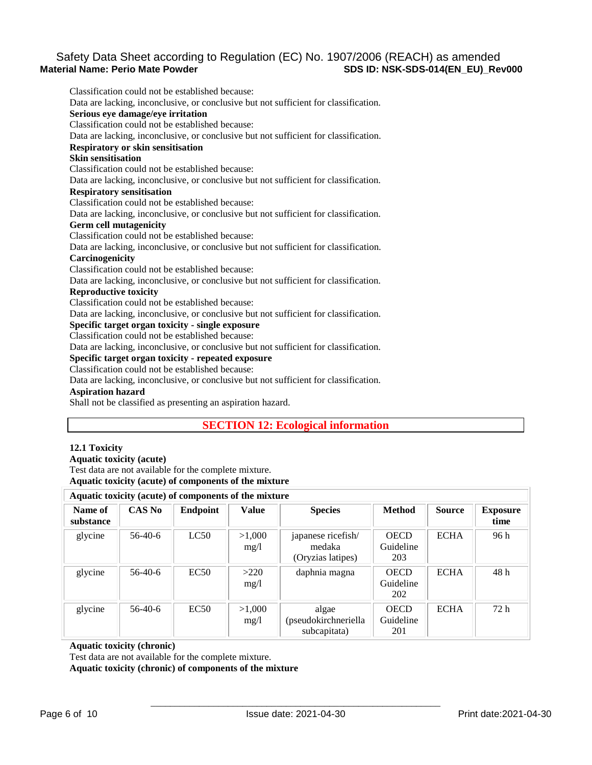# Safety Data Sheet according to Regulation (EC) No. 1907/2006 (REACH) as amended<br>Material Name: Perio Mate Powder<br>SDS ID: NSK-SDS-014(EN EU) Re **SDS ID: NSK-SDS-014(EN\_EU)\_Rev000**

Classification could not be established because: Data are lacking, inconclusive, or conclusive but not sufficient for classification. **Serious eye damage/eye irritation** Classification could not be established because: Data are lacking, inconclusive, or conclusive but not sufficient for classification. **Respiratory or skin sensitisation Skin sensitisation** Classification could not be established because: Data are lacking, inconclusive, or conclusive but not sufficient for classification. **Respiratory sensitisation** Classification could not be established because: Data are lacking, inconclusive, or conclusive but not sufficient for classification. **Germ cell mutagenicity** Classification could not be established because: Data are lacking, inconclusive, or conclusive but not sufficient for classification. **Carcinogenicity** Classification could not be established because: Data are lacking, inconclusive, or conclusive but not sufficient for classification. **Reproductive toxicity** Classification could not be established because: Data are lacking, inconclusive, or conclusive but not sufficient for classification. **Specific target organ toxicity - single exposure** Classification could not be established because: Data are lacking, inconclusive, or conclusive but not sufficient for classification. **Specific target organ toxicity - repeated exposure** Classification could not be established because: Data are lacking, inconclusive, or conclusive but not sufficient for classification. **Aspiration hazard**

Shall not be classified as presenting an aspiration hazard.

# **SECTION 12: Ecological information**

### **12.1 Toxicity**

**Aquatic toxicity (acute)** Test data are not available for the complete mixture. **Aquatic toxicity (acute) of components of the mixture**

| Aquatic toxicity (acute) of components of the mixture |               |                 |                |                                                   |                                 |               |                         |
|-------------------------------------------------------|---------------|-----------------|----------------|---------------------------------------------------|---------------------------------|---------------|-------------------------|
| Name of<br>substance                                  | <b>CAS No</b> | <b>Endpoint</b> | Value          | <b>Species</b>                                    | <b>Method</b>                   | <b>Source</b> | <b>Exposure</b><br>time |
| glycine                                               | $56-40-6$     | LC50            | >1,000<br>mg/1 | japanese ricefish/<br>medaka<br>(Oryzias latipes) | <b>OECD</b><br>Guideline<br>203 | <b>ECHA</b>   | 96 h                    |
| glycine                                               | $56-40-6$     | EC50            | >220<br>mg/1   | daphnia magna                                     | <b>OECD</b><br>Guideline<br>202 | <b>ECHA</b>   | 48 h                    |
| glycine                                               | $56-40-6$     | EC50            | >1,000<br>mg/1 | algae<br>(pseudokirchneriella<br>subcapitata)     | <b>OECD</b><br>Guideline<br>201 | <b>ECHA</b>   | 72 h                    |

#### **Aquatic toxicity (chronic)**

Test data are not available for the complete mixture.

**Aquatic toxicity (chronic) of components of the mixture**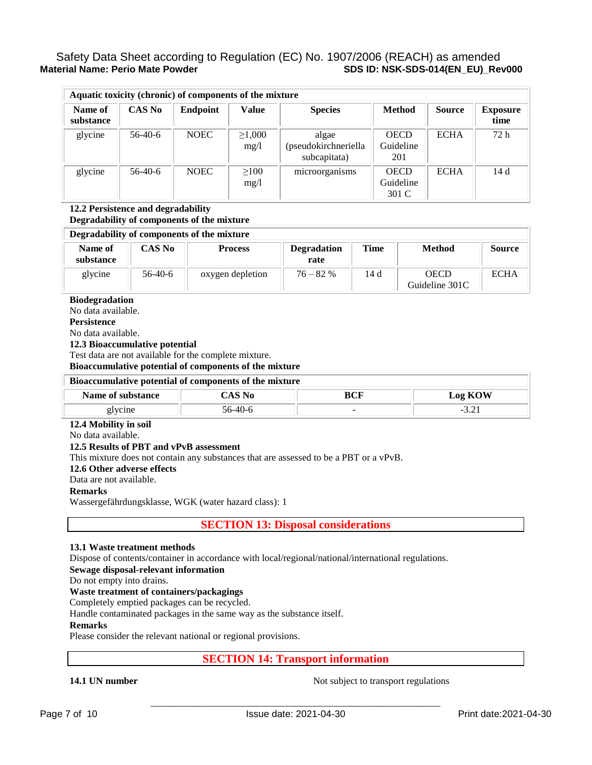# Safety Data Sheet according to Regulation (EC) No. 1907/2006 (REACH) as amended<br>Material Name: Perio Mate Powder<br>SDS ID: NSK-SDS-014(EN EU) Re **SDS ID: NSK-SDS-014(EN\_EU)\_Rev000**

|                      |               | Aquatic toxicity (chronic) of components of the mixture |                      |                                               |                                   |               |                         |
|----------------------|---------------|---------------------------------------------------------|----------------------|-----------------------------------------------|-----------------------------------|---------------|-------------------------|
| Name of<br>substance | <b>CAS No</b> | <b>Endpoint</b>                                         | <b>Value</b>         | <b>Species</b>                                | <b>Method</b>                     | <b>Source</b> | <b>Exposure</b><br>time |
| glycine              | $56-40-6$     | <b>NOEC</b>                                             | $\geq 1,000$<br>mg/1 | algae<br>(pseudokirchneriella<br>subcapitata) | <b>OECD</b><br>Guideline<br>201   | <b>ECHA</b>   | 72h                     |
| glycine              | $56-40-6$     | <b>NOEC</b>                                             | $\geq 100$<br>mg/1   | microorganisms                                | <b>OECD</b><br>Guideline<br>301 C | <b>ECHA</b>   | 14d                     |

#### **12.2 Persistence and degradability Degradability of components of the mixture**

### **Degradability of components of the mixture**

| Name of<br>substance | <b>CAS No</b> | <b>Process</b>   | <b>Degradation</b><br>rate | Time | <b>Method</b>                 | <b>Source</b> |
|----------------------|---------------|------------------|----------------------------|------|-------------------------------|---------------|
| glycine              | $56-40-6$     | oxygen depletion | $76 - 82%$                 | 14 d | <b>OECD</b><br>Guideline 301C | <b>ECHA</b>   |

### **Biodegradation**

No data available.

**Persistence**

No data available.

### **12.3 Bioaccumulative potential**

Test data are not available for the complete mixture.

**Bioaccumulative potential of components of the mixture**

### **Bioaccumulative potential of components of the mixture**

| Name of substance |  | BCF    | ОW<br>$\log K$<br>۰. |  |
|-------------------|--|--------|----------------------|--|
| 5.                |  | $\sim$ | -<br>.               |  |

### **12.4 Mobility in soil**

No data available.

### **12.5 Results of PBT and vPvB assessment**

This mixture does not contain any substances that are assessed to be a PBT or a vPvB.

#### **12.6 Other adverse effects**

Data are not available.

#### **Remarks**

Wassergefährdungsklasse, WGK (water hazard class): 1

**SECTION 13: Disposal considerations** 

## **13.1 Waste treatment methods**

Dispose of contents/container in accordance with local/regional/national/international regulations.

### **Sewage disposal-relevant information**

Do not empty into drains.

## **Waste treatment of containers/packagings**

Completely emptied packages can be recycled.

Handle contaminated packages in the same way as the substance itself.

### **Remarks**

Please consider the relevant national or regional provisions.

**SECTION 14: Transport information** 

**14.1 UN number** Not subject to transport regulations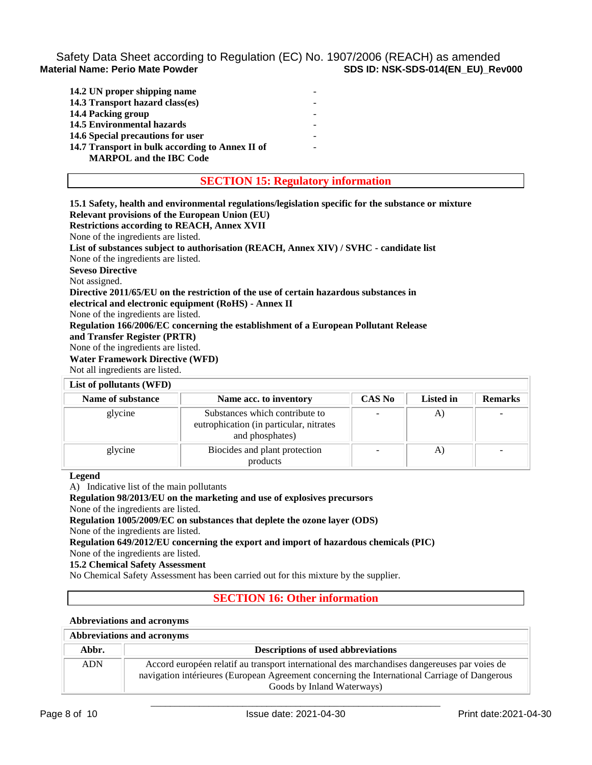# Safety Data Sheet according to Regulation (EC) No. 1907/2006 (REACH) as amended<br>Material Name: Perio Mate Powder<br>Regulation (EC) No. 1907/2006 (REACH) as amended **SDS ID: NSK-SDS-014(EN\_EU)\_Rev000**

| 14.2 UN proper shipping name                    |  |
|-------------------------------------------------|--|
| 14.3 Transport hazard class(es)                 |  |
| 14.4 Packing group                              |  |
| <b>14.5 Environmental hazards</b>               |  |
| 14.6 Special precautions for user               |  |
| 14.7 Transport in bulk according to Annex II of |  |
| <b>MARPOL</b> and the IBC Code                  |  |

### **SECTION 15: Regulatory information**

**15.1 Safety, health and environmental regulations/legislation specific for the substance or mixture**

**Relevant provisions of the European Union (EU)**

**Restrictions according to REACH, Annex XVII**

None of the ingredients are listed.

**List of substances subject to authorisation (REACH, Annex XIV) / SVHC - candidate list**

None of the ingredients are listed.

**Seveso Directive**

Not assigned.

**Directive 2011/65/EU on the restriction of the use of certain hazardous substances in electrical and electronic equipment (RoHS) - Annex II**

None of the ingredients are listed.

**Regulation 166/2006/EC concerning the establishment of a European Pollutant Release and Transfer Register (PRTR)**

None of the ingredients are listed.

# **Water Framework Directive (WFD)**

Not all ingredients are listed.

### **List of pollutants (WFD)**

| $List$ of politicality ( $VID$ ) |                                                                                              |               |           |                |
|----------------------------------|----------------------------------------------------------------------------------------------|---------------|-----------|----------------|
| Name of substance                | Name acc. to inventory                                                                       | <b>CAS No</b> | Listed in | <b>Remarks</b> |
| glycine                          | Substances which contribute to<br>eutrophication (in particular, nitrates<br>and phosphates) |               | A.        |                |
| glycine                          | Biocides and plant protection<br>products                                                    |               | A)        |                |

**Legend**

A) Indicative list of the main pollutants

**Regulation 98/2013/EU on the marketing and use of explosives precursors**

None of the ingredients are listed.

**Regulation 1005/2009/EC on substances that deplete the ozone layer (ODS)**

None of the ingredients are listed.

**Regulation 649/2012/EU concerning the export and import of hazardous chemicals (PIC)**

None of the ingredients are listed.

**15.2 Chemical Safety Assessment**

No Chemical Safety Assessment has been carried out for this mixture by the supplier.

# **SECTION 16: Other information**

#### **Abbreviations and acronyms**

# **Abbreviations and acronyms**

| Abbr.      | <b>Descriptions of used abbreviations</b>                                                     |
|------------|-----------------------------------------------------------------------------------------------|
| <b>ADN</b> | Accord européen relatif au transport international des marchandises dangereuses par voies de  |
|            | navigation intérieures (European Agreement concerning the International Carriage of Dangerous |
|            | Goods by Inland Waterways)                                                                    |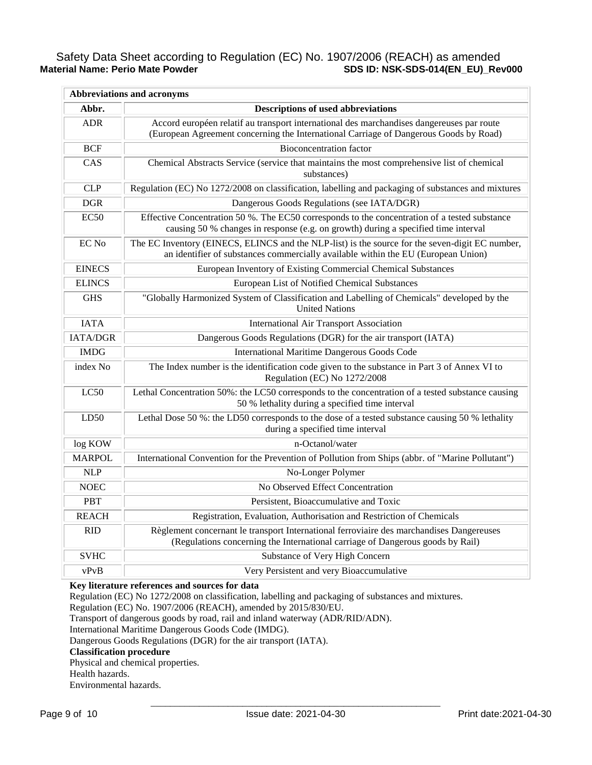# Safety Data Sheet according to Regulation (EC) No. 1907/2006 (REACH) as amended<br>Material Name: Perio Mate Powder<br>Reverthe Capacition (EC) No. 1907/2006 (REACH) as amended<br>Reverthe Powder **Material Name: Perio Mate Powder SDS ID: NSK-SDS-014(EN\_EU)\_Rev000**

| <b>Abbreviations and acronyms</b> |                                                                                                                                                                                      |
|-----------------------------------|--------------------------------------------------------------------------------------------------------------------------------------------------------------------------------------|
| Abbr.                             | <b>Descriptions of used abbreviations</b>                                                                                                                                            |
| <b>ADR</b>                        | Accord européen relatif au transport international des marchandises dangereuses par route<br>(European Agreement concerning the International Carriage of Dangerous Goods by Road)   |
| <b>BCF</b>                        | <b>Bioconcentration</b> factor                                                                                                                                                       |
| CAS                               | Chemical Abstracts Service (service that maintains the most comprehensive list of chemical<br>substances)                                                                            |
| <b>CLP</b>                        | Regulation (EC) No 1272/2008 on classification, labelling and packaging of substances and mixtures                                                                                   |
| <b>DGR</b>                        | Dangerous Goods Regulations (see IATA/DGR)                                                                                                                                           |
| EC <sub>50</sub>                  | Effective Concentration 50 %. The EC50 corresponds to the concentration of a tested substance<br>causing 50 % changes in response (e.g. on growth) during a specified time interval  |
| EC No                             | The EC Inventory (EINECS, ELINCS and the NLP-list) is the source for the seven-digit EC number,<br>an identifier of substances commercially available within the EU (European Union) |
| <b>EINECS</b>                     | European Inventory of Existing Commercial Chemical Substances                                                                                                                        |
| <b>ELINCS</b>                     | European List of Notified Chemical Substances                                                                                                                                        |
| <b>GHS</b>                        | "Globally Harmonized System of Classification and Labelling of Chemicals" developed by the<br><b>United Nations</b>                                                                  |
| <b>IATA</b>                       | <b>International Air Transport Association</b>                                                                                                                                       |
| <b>IATA/DGR</b>                   | Dangerous Goods Regulations (DGR) for the air transport (IATA)                                                                                                                       |
| <b>IMDG</b>                       | <b>International Maritime Dangerous Goods Code</b>                                                                                                                                   |
| index No                          | The Index number is the identification code given to the substance in Part 3 of Annex VI to<br>Regulation (EC) No 1272/2008                                                          |
| LC50                              | Lethal Concentration 50%: the LC50 corresponds to the concentration of a tested substance causing<br>50 % lethality during a specified time interval                                 |
| LD50                              | Lethal Dose 50 %: the LD50 corresponds to the dose of a tested substance causing 50 % lethality<br>during a specified time interval                                                  |
| log KOW                           | n-Octanol/water                                                                                                                                                                      |
| <b>MARPOL</b>                     | International Convention for the Prevention of Pollution from Ships (abbr. of "Marine Pollutant")                                                                                    |
| <b>NLP</b>                        | No-Longer Polymer                                                                                                                                                                    |
| <b>NOEC</b>                       | No Observed Effect Concentration                                                                                                                                                     |
| <b>PBT</b>                        | Persistent, Bioaccumulative and Toxic                                                                                                                                                |
| <b>REACH</b>                      | Registration, Evaluation, Authorisation and Restriction of Chemicals                                                                                                                 |
| <b>RID</b>                        | Règlement concernant le transport International ferroviaire des marchandises Dangereuses<br>(Regulations concerning the International carriage of Dangerous goods by Rail)           |
| <b>SVHC</b>                       | Substance of Very High Concern                                                                                                                                                       |
| vPvB                              | Very Persistent and very Bioaccumulative                                                                                                                                             |

**Key literature references and sources for data**

Regulation (EC) No 1272/2008 on classification, labelling and packaging of substances and mixtures.

Regulation (EC) No. 1907/2006 (REACH), amended by 2015/830/EU.

Transport of dangerous goods by road, rail and inland waterway (ADR/RID/ADN).

International Maritime Dangerous Goods Code (IMDG).

Dangerous Goods Regulations (DGR) for the air transport (IATA).

## **Classification procedure**

Physical and chemical properties.

Health hazards.

Environmental hazards.